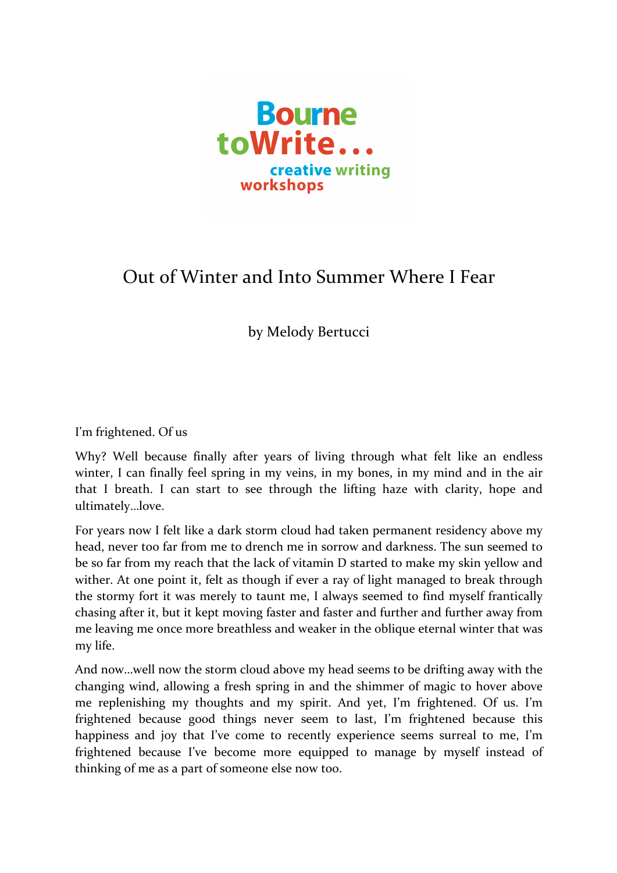

## Out of Winter and Into Summer Where I Fear

by Melody Bertucci

I'm frightened. Of us

Why? Well because finally after years of living through what felt like an endless winter, I can finally feel spring in my veins, in my bones, in my mind and in the air that I breath. I can start to see through the lifting haze with clarity, hope and ultimately…love.

For years now I felt like a dark storm cloud had taken permanent residency above my head, never too far from me to drench me in sorrow and darkness. The sun seemed to be so far from my reach that the lack of vitamin D started to make my skin yellow and wither. At one point it, felt as though if ever a ray of light managed to break through the stormy fort it was merely to taunt me, I always seemed to find myself frantically chasing after it, but it kept moving faster and faster and further and further away from me leaving me once more breathless and weaker in the oblique eternal winter that was my life.

And now...well now the storm cloud above my head seems to be drifting away with the changing wind, allowing a fresh spring in and the shimmer of magic to hover above me replenishing my thoughts and my spirit. And yet, I'm frightened. Of us. I'm frightened because good things never seem to last, I'm frightened because this happiness and joy that I've come to recently experience seems surreal to me, I'm frightened because I've become more equipped to manage by myself instead of thinking of me as a part of someone else now too.